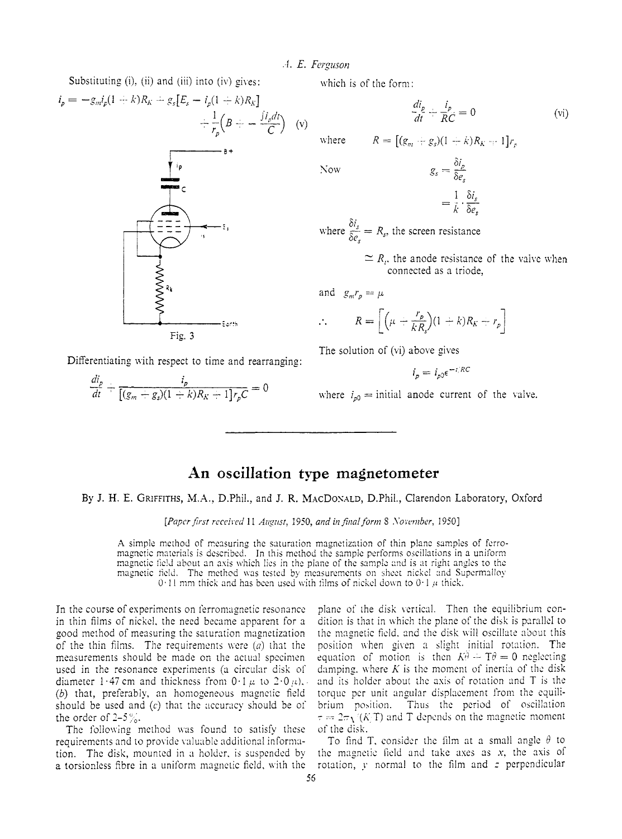### A. E. Ferguson

Substituting (i), (ii) and (iii) into (iv) gives:



Differentiating with respect to time and rearranging:

 $\frac{di_p}{dt} + \frac{i_p}{[(g_m + g_c)(1 - k)R_K + 1]r_nC} = 0$ 

which is of the form:

$$
\frac{di_p}{dt} + \frac{i_p}{RC} = 0
$$
 (vi)

 $R = [(g_m + g_s)(1 + k)R_{k-1}1]r_s$ where

 $\sqrt{2}$ 

$$
g_s = \frac{\delta i_p}{\delta e_s}
$$
  
1 \delta

where  $\frac{\delta i_s}{\delta e} = R_s$ , the screen resistance

 $\approx$  R<sub>i</sub>, the anode resistance of the valve when connected as a triode.

$$
\therefore R = \left[ \left( \mu + \frac{r_p}{kR_s} \right) (1 + k) R_K + r_p \right]
$$

The solution of (vi) above gives

$$
i_p = i_{p0} \epsilon^{-i/RC}
$$

where  $i_{n0}$  = initial anode current of the valve.

# An oscillation type magnetometer

By J. H. E. GRIFFITHS, M.A., D.Phil., and J. R. MACDONALD, D.Phil., Clarendon Laboratory, Oxford

[Paper first received 11 August, 1950, and in final form 8 November, 1950]

A simple method of measuring the saturation magnetization of thin plane samples of ferromagnetic materials is described. In this method the sample performs oscillations in a uniform magnetic field about an axis which lies in the plane of the sample and is at right angles to the magnetic field. The method was tested by measurements on sheet nickel and Supermalloy 0.11 mm thick and has been used with films of nickel down to 0.1  $\mu$  thick.

In the course of experiments on ferromagnetic resonance in thin films of nickel, the need became apparent for a good method of measuring the saturation magnetization of the thin films. The requirements were  $(a)$  that the measurements should be made on the actual specimen used in the resonance experiments (a circular disk of diameter 1.47 cm and thickness from  $0.1 \mu$  to  $2.0 \mu$ ), (b) that, preferably, an homogeneous magnetic field should be used and  $(c)$  that the accuracy should be of the order of  $2-5\%$ .

The following method was found to satisfy these requirements and to provide valuable additional information. The disk, mounted in a holder, is suspended by a torsionless fibre in a uniform magnetic field, with the plane of the disk vertical. Then the equilibrium condition is that in which the plane of the disk is parallel to the magnetic field, and the disk will oscillate about this position when given a slight initial rotation. The equation of motion is then  $K_t^{\hat{\theta}} - T\theta = 0$  neglecting damping, where  $K$  is the moment of inertia of the disk and its holder about the axis of rotation and T is the torque per unit angular displacement from the equilibrium position. Thus the period of oscillation  $\tau = 2\pi\sqrt{K/T}$  and T depends on the magnetic moment of the disk.

To find T, consider the film at a small angle  $\theta$  to the magnetic field and take axes as  $x$ , the axis of rotation,  $y$  normal to the film and  $z$  perpendicular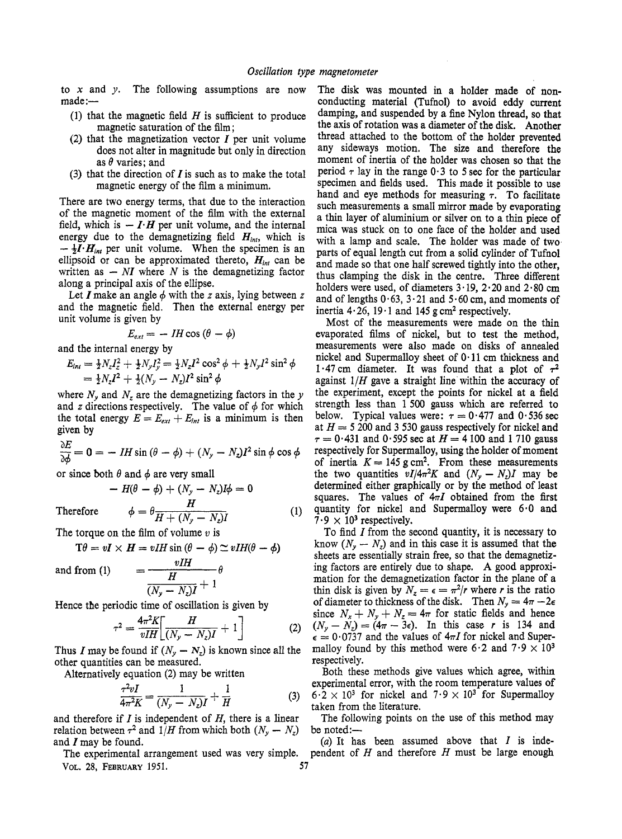to **x** and *y.* The following assumptions are now  $made$  : $-$ 

- (1) that the magnetic field *H* is sufficient to produce magnetic saturation of the film ;
- **(2)** that the magnetization vector *Z* per unit volume does not alter in magnitude but only in direction as **0** varies; and
- (3) that the direction of **Z** is such as to make the total magnetic energy of the film a minimum.

There are two energy terms, that due to the interaction of the magnetic moment of the film with the external field, which is  $-I \cdot H$  per unit volume, and the internal energy due to the demagnetizing field  $H_{int}$ , which is  $-\frac{1}{2}I \cdot H_{int}$  per unit volume. When the specimen is an ellipsoid or can be approximated thereto,  $H_{int}$  can be  $-\frac{1}{2}I \cdot H_{int}$  per unit volume. When the specimen is an ellipsoid or can be approximated thereto,  $H_{int}$  can be written as  $-NI$  where N is the demagnetizing factor along a principal axis of the ellipse.

Let  $I$  make an angle  $\phi$  with the *z* axis, lying between *z* and the magnetic field. Then the external energy per unit volume is given by

given by  

$$
E_{ext} = -IH\cos(\theta - \phi)
$$

and the internal energy by

$$
E_{int} = \frac{1}{2} N_z I_z^2 + \frac{1}{2} N_y I_y^2 = \frac{1}{2} N_z I^2 \cos^2 \phi + \frac{1}{2} N_y I^2 \sin^2 \phi
$$
  
=  $\frac{1}{2} N_z I^2 + \frac{1}{2} (N_y - N_z) I^2 \sin^2 \phi$ 

where  $N_y$  and  $N_z$  are the demagnetizing factors in the y and *z* directions respectively. The value of  $\phi$  for which the total energy  $E = E_{ext} + E_{int}$  is a minimum is then

given by  
\n
$$
\frac{\partial E}{\partial \phi} = 0 = -IH \sin (\theta - \phi) + (N_y - N_z)I^2 \sin \phi \cos \phi
$$

or since both 
$$
\theta
$$
 and  $\phi$  are very small  
-  $H(\theta - \phi) + (N_y - N_z)I\phi = 0$ 

Therefore  $\phi = \theta \frac{H}{H + (N_y - N_z)I}$ 

The torque on the film of volume v is  
\n
$$
T\theta = vI \times H = vIH \sin{(\theta - \phi)} \approx vIH(\theta - \phi)
$$

and from (1)  $= \frac{vHH}{H}$ 

 $\frac{H}{(N_{y}-N_{z})I}$ 

Hence the periodic time of oscillation is given by

$$
\tau^2 = \frac{4\pi^2 K}{vIH} \left[ \frac{H}{(N_y - N_z)I} + 1 \right] \tag{2}
$$

Thus I may be found if  $(N_y - N_z)$  is known since all the other quantities can be measured.

Alternatively equation **(2)** may be written

$$
\frac{\tau^2 v I}{4\pi^2 K} = \frac{1}{(N_y - N_z)I} + \frac{1}{H}
$$
 (3)

and therefore if *I* is independent of *H,* there is a linear relation between  $\tau^2$  and  $1/H$  from which both  $(N_y - N_z)$ and **Z** may be found.

The experimental arrangement used was very simple. **VOL. 28, FEBRUARY 1951. 57** 

The disk was mounted in a holder made of nonconducting material (Tufnol) to avoid eddy current damping, and suspended by a fine Nylon thread, so that the axis of rotation was a diameter of the disk. Another thread attached to the bottom of the holder prevented any sideways motion. The size and therefore the moment of inertia of the holder was chosen so that the period  $\tau$  lay in the range  $0.3$  to 5 sec for the particular specimen and fields used. This made it possible to use hand and eye methods for measuring  $\tau$ . To facilitate such measurements a small mirror made by evaporating a thin layer of aluminium or silver on to a thin piece of mica was stuck on to one face of the holder and used with a lamp and scale. The holder was made of two parts of equal length cut from a solid cylinder of Tufnol and made so that one half screwed tightly into the other, thus clamping the disk in the centre. Three different holders were used, of diameters **3.19, 2.20** and **2.80** cm and of lengths  $0.63$ ,  $3.21$  and  $5.60$  cm, and moments of inertia  $4.26$ ,  $19.1$  and  $145$  g cm<sup>2</sup> respectively.

Most of the measurements were made on the thin evaporated films of nickel, but to test the method, measurements were also made on disks of annealed nickel and Supermalloy sheet of **0.11** cm thickness and 1.47 cm diameter. It was found that a plot of  $\tau^2$ against **1/H** gave a straight line within the accuracy of the experiment, except the points for nickel at a field strength less than 1500 gauss which are referred to below. Typical values were:  $\tau = 0.477$  and  $0.536$  sec at  $H = 5200$  and 3 530 gauss respectively for nickel and  $\tau = 0.431$  and 0.595 sec at  $H = 4100$  and 1710 gauss respectively for Supermalloy, using the holder of moment of inertia  $K = 145$  g cm<sup>2</sup>. From these measurements the two quantities  $vI/4\pi^2K$  and  $(N_y - N_z)I$  may be determined either graphically or by the method of least squares. The values of  $4\pi I$  obtained from the first quantity for nickel and Supermalloy were **6.0 and**   $7.9 \times 10^3$  respectively.

To find *Z* from the second quantity, it is necessary to know  $(N_v - N_z)$  and in this case it is assumed that the sheets are essentially strain free, so that the demagnetizing factors are entirely due to shape. **A** good approximation for the demagnetization factor in the plane of a thin disk is given by  $N_z = \epsilon = \pi^2/r$  where *r* is the ratio of diameter to thickness of the disk. Then  $N_y = 4\pi - 2\epsilon$ since  $N_x + N_y + N_z = 4\pi$  for static fields and hence  $(N_y - N_z) = (4\pi - 3\epsilon)$ . In this case *r* is 134 and  $\epsilon = 0.0737$  and the values of  $4\pi I$  for nickel and Supermalloy found by this method were  $6.2$  and  $7.9 \times 10^3$ respectively.

Both these methods give values which agree, within experimental error, with the room temperature values of  $6 \cdot 2 \times 10^3$  for nickel and  $7 \cdot 9 \times 10^3$  for Supermalloy taken from the literature.

The following points on the use of this method may be noted: $-$ 

 $(a)$  It has been assumed above that  $I$  is independent of  $H$  and therefore  $H$  must be large enough

 $(1)$